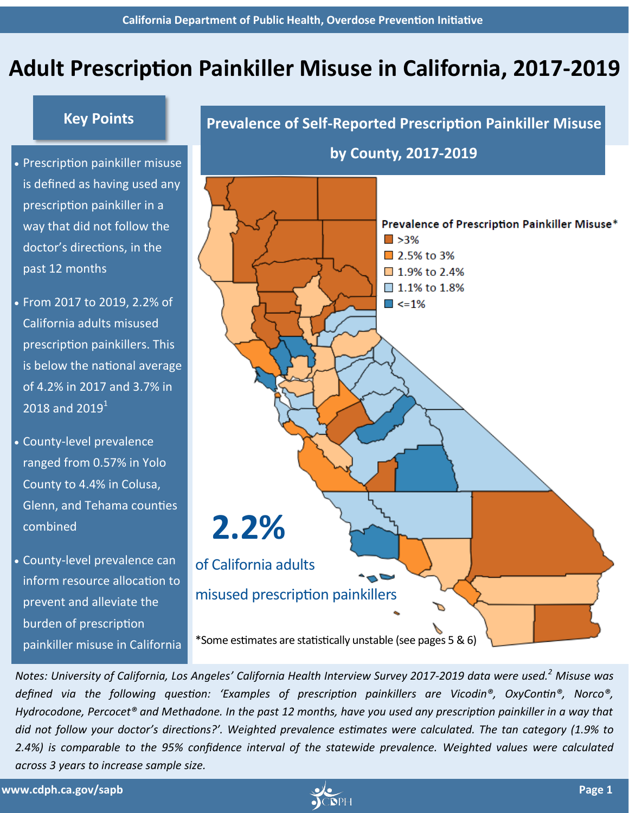# **Adult Prescription Painkiller Misuse in California, 2017-2019**

## **Key Points**

- Prescription painkiller misuse is defined as having used any prescription painkiller in a way that did not follow the doctor's directions, in the past 12 months
- From 2017 to 2019, 2.2% of California adults misused prescription painkillers. This is below the national average of 4.2% in 2017 and 3.7% in 2018 and  $2019<sup>1</sup>$
- County-level prevalence ranged from 0.57% in Yolo County to 4.4% in Colusa, Glenn, and Tehama counties combined
- County-level prevalence can inform resource allocation to prevent and alleviate the burden of prescription painkiller misuse in California



*Notes: University of California, Los Angeles' California Health Interview Survey 2017-2019 data were used.<sup>2</sup> Misuse was defined via the following question: 'Examples of prescription painkillers are Vicodin®, OxyContin®, Norco®, Hydrocodone, Percocet® and Methadone. In the past 12 months, have you used any prescription painkiller in a way that did not follow your doctor's directions?'. Weighted prevalence estimates were calculated. The tan category (1.9% to 2.4%) is comparable to the 95% confidence interval of the statewide prevalence. Weighted values were calculated across 3 years to increase sample size.* 

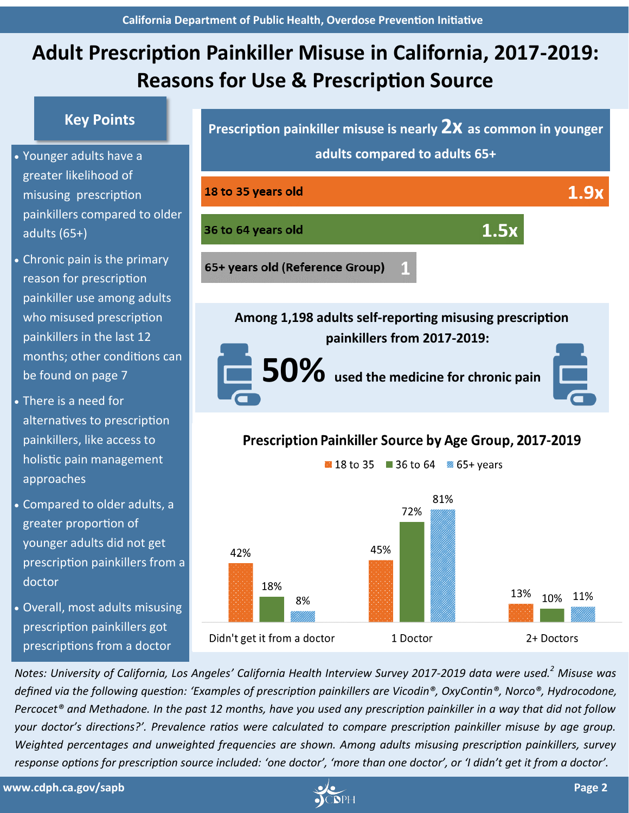# **Adult Prescription Painkiller Misuse in California, 2017-2019: Reasons for Use & Prescription Source**

## **Key Points**

- greater likelihood of misusing prescription painkillers compared to older adults (65+)
- Chronic pain is the primary reason for prescription painkiller use among adults who misused prescription painkillers in the last 12 months; other conditions can be found on page 7
- There is a need for alternatives to prescription painkillers, like access to holistic pain management approaches
- Compared to older adults, a greater proportion of younger adults did not get prescription painkillers from a doctor
- Overall, most adults misusing prescription painkillers got prescriptions from a doctor



1 Doctor

*Notes: University of California, Los Angeles' California Health Interview Survey 2017-2019 data were used.<sup>2</sup> Misuse was defined via the following question: 'Examples of prescription painkillers are Vicodin®, OxyContin®, Norco®, Hydrocodone, Percocet® and Methadone. In the past 12 months, have you used any prescription painkiller in a way that did not follow your doctor's directions?'. Prevalence ratios were calculated to compare prescription painkiller misuse by age group. Weighted percentages and unweighted frequencies are shown. Among adults misusing prescription painkillers, survey response options for prescription source included: 'one doctor', 'more than one doctor', or 'I didn't get it from a doctor'.* 

18%

Didn't get it from a doctor

8%



11%

10%

2+ Doctors

13%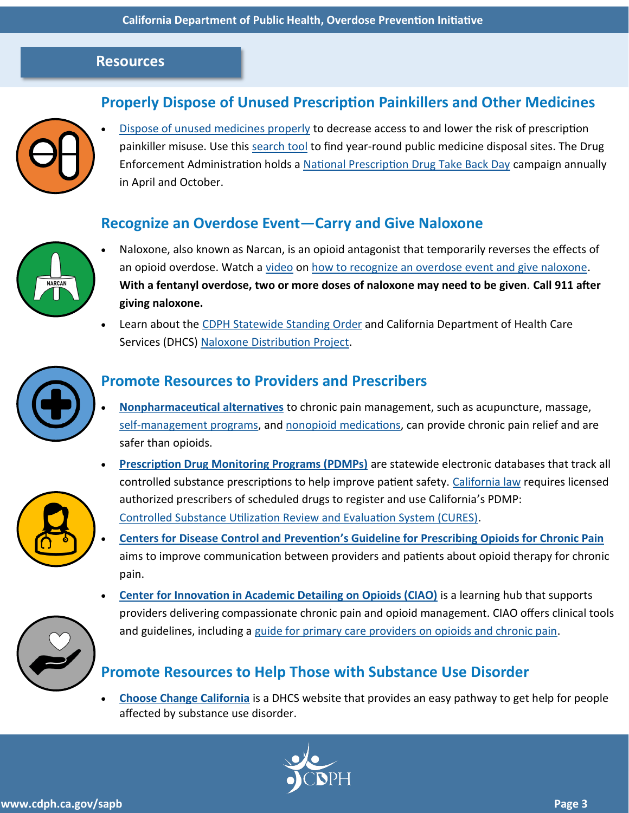#### **Resources**

# **Properly Dispose of Unused Prescription Painkillers and Other Medicines**



**[Dispose of unused medicines properly](https://www.fda.gov/consumers/consumer-updates/where-and-how-dispose-unused-medicines) to decrease access to and lower the risk of prescription** painkiller misuse. Use this [search tool](https://apps2.deadiversion.usdoj.gov/pubdispsearch/spring/main?execution=e1s1) to find year-round public medicine disposal sites. The Drug Enforcement Administration holds a [National Prescription Drug Take Back Day](https://www.deadiversion.usdoj.gov/drug_disposal/takeback/index.html) campaign annually in April and October.

### **Recognize an Overdose Event—Carry and Give Naloxone**



- Naloxone, also known as Narcan, is an opioid antagonist that temporarily reverses the effects of an opioid overdose. Watch a [video](https://www.youtube.com/embed/nurz9qPGKws) on [how to recognize an overdose event and give naloxone.](https://e53efa47-47f5-43b7-bfc6-1ccd5a4359a4.filesusr.com/ugd/91710f_1a8a24bed82f483594082bc078ffe4f5.pdf) **With a fentanyl overdose, two or more doses of naloxone may need to be given***.* **Call 911 after giving naloxone.**
- Learn about the [CDPH Statewide Standing Order](https://www.cdph.ca.gov/Programs/CCDPHP/sapb/Pages/Naloxone-Application-Information.aspx) and California Department of Health Care Services (DHCS) [Naloxone Distribution](https://www.dhcs.ca.gov/individuals/Pages/Naloxone_Distribution_Project.aspx) [Project.](google.com)



# **Promote Resources to Providers and Prescribers**

- **[Nonpharmaceutical alternatives](https://www.nccih.nih.gov/health/chronic-pain-in-depth)** to chronic pain management, such as acupuncture, massage, self-[management programs,](https://www.cdc.gov/learnmorefeelbetter/programs/chronic-pain.htm) and [nonopioid medications,](https://www.cdc.gov/drugoverdose/pdf/nonopioid_treatments-a.pdf) can provide chronic pain relief and are safer than opioids.
- **[Prescription Drug Monitoring Programs \(PDMPs\)](https://www.cdc.gov/drugoverdose/pdf/PDMP_Factsheet-a.pdf)** are statewide electronic databases that track all controlled substance prescriptions to help improve patient safety. [California law](https://leginfo.legislature.ca.gov/faces/codes_displaySection.xhtml?lawCode=HSC§ionNum=11165) requires licensed authorized prescribers of scheduled drugs to register and use California's PDMP: [Controlled Substance Utilization Review and Evaluation System \(CURES\).](https://oag.ca.gov/cures)
- **Centers for Disease Control and Prevention'[s Guideline for Prescribing Opioids for Chronic Pain](https://www.cdc.gov/drugoverdose/pdf/prescribing/Guidelines_Factsheet-a.pdf)**  aims to improve communication between providers and patients about opioid therapy for chronic pain. •
- **[Center for Innovation in Academic Detailing on Opioids \(CIAO\)](https://www.ciaosf.org/)** is a learning hub that supports providers delivering compassionate chronic pain and opioid management. CIAO offers clinical tools and guidelines, including a [guide for primary care providers on opioids and chronic pain.](https://e53efa47-47f5-43b7-bfc6-1ccd5a4359a4.filesusr.com/ugd/91710f_dbe75e48246d490ebffcf28c96d8a2b8.pdf) •

# **Promote Resources to Help Those with Substance Use Disorder**

• **[Choose Change California](https://choosechangeca.org/)** is a DHCS website that provides an easy pathway to get help for people affected by substance use disorder.

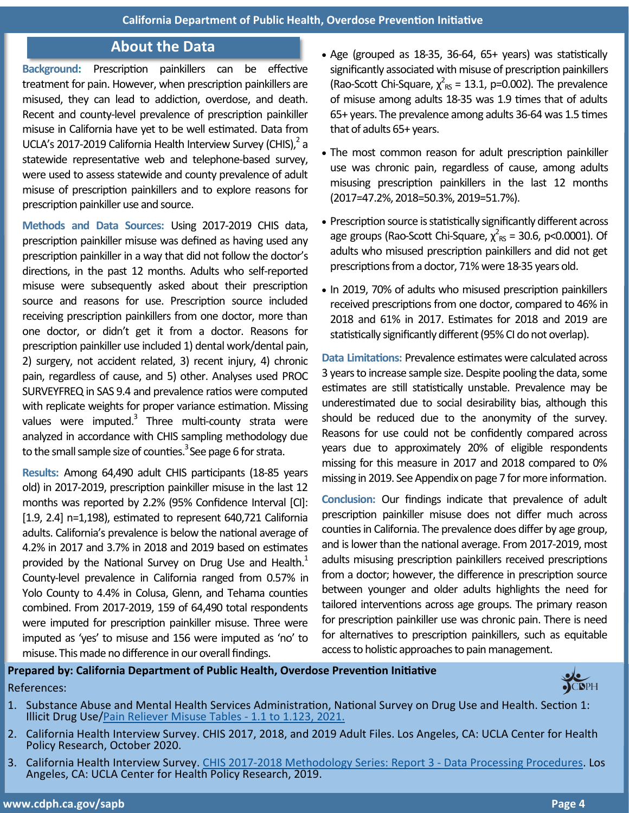#### **About the Data**

**Background:** Prescription painkillers can be effective treatment for pain. However, when prescription painkillers are misused, they can lead to addiction, overdose, and death. Recent and county-level prevalence of prescription painkiller misuse in California have yet to be well estimated. Data from UCLA's 2017-2019 California Health Interview Survey (CHIS), $^2$  a statewide representative web and telephone-based survey, were used to assess statewide and county prevalence of adult misuse of prescription painkillers and to explore reasons for prescription painkiller use and source.

**Methods and Data Sources:** Using 2017-2019 CHIS data, prescription painkiller misuse was defined as having used any prescription painkiller in a way that did not follow the doctor's directions, in the past 12 months. Adults who self-reported misuse were subsequently asked about their prescription source and reasons for use. Prescription source included receiving prescription painkillers from one doctor, more than one doctor, or didn't get it from a doctor. Reasons for prescription painkiller use included 1) dental work/dental pain, 2) surgery, not accident related, 3) recent injury, 4) chronic pain, regardless of cause, and 5) other. Analyses used PROC SURVEYFREQ in SAS 9.4 and prevalence ratios were computed with replicate weights for proper variance estimation. Missing values were imputed.<sup>3</sup> Three multi-county strata were analyzed in accordance with CHIS sampling methodology due to the small sample size of counties.<sup>3</sup> See page 6 for strata.

**Results:** Among 64,490 adult CHIS participants (18-85 years old) in 2017-2019, prescription painkiller misuse in the last 12 months was reported by 2.2% (95% Confidence Interval [CI]: [1.9, 2.4] n=1,198), estimated to represent 640,721 California adults. California's prevalence is below the national average of 4.2% in 2017 and 3.7% in 2018 and 2019 based on estimates provided by the National Survey on Drug Use and Health.<sup>1</sup> County-level prevalence in California ranged from 0.57% in Yolo County to 4.4% in Colusa, Glenn, and Tehama counties combined. From 2017-2019, 159 of 64,490 total respondents were imputed for prescription painkiller misuse. Three were imputed as 'yes' to misuse and 156 were imputed as 'no' to misuse. This made no difference in our overall findings.

- Age (grouped as 18-35, 36-64, 65+ years) was statistically significantly associated with misuse of prescription painkillers (Rao-Scott Chi-Square,  $\chi^2_{\rm RS}$  = 13.1, p=0.002). The prevalence of misuse among adults 18-35 was 1.9 times that of adults 65+ years. The prevalence among adults 36-64 was 1.5 times that of adults 65+ years.
- The most common reason for adult prescription painkiller use was chronic pain, regardless of cause, among adults misusing prescription painkillers in the last 12 months (2017=47.2%, 2018=50.3%, 2019=51.7%).
- Prescription source is statistically significantly different across age groups (Rao-Scott Chi-Square,  $\chi^2_{\rm \scriptscriptstyle RS}$  = 30.6, p<0.0001). Of adults who misused prescription painkillers and did not get prescriptions from a doctor, 71% were 18-35 years old.
- In 2019, 70% of adults who misused prescription painkillers received prescriptions from one doctor, compared to 46% in 2018 and 61% in 2017. Estimates for 2018 and 2019 are statistically significantly different (95% CI do not overlap).

**Data Limitations:** Prevalence estimates were calculated across 3 years to increase sample size. Despite pooling the data, some estimates are still statistically unstable. Prevalence may be underestimated due to social desirability bias, although this should be reduced due to the anonymity of the survey. Reasons for use could not be confidently compared across years due to approximately 20% of eligible respondents missing for this measure in 2017 and 2018 compared to 0% missing in 2019. See Appendix on page 7 for more information.

**Conclusion:** Our findings indicate that prevalence of adult prescription painkiller misuse does not differ much across counties in California. The prevalence does differ by age group, and is lower than the national average. From 2017-2019, most adults misusing prescription painkillers received prescriptions from a doctor; however, the difference in prescription source between younger and older adults highlights the need for tailored interventions across age groups. The primary reason for prescription painkiller use was chronic pain. There is need for alternatives to prescription painkillers, such as equitable access to holistic approaches to pain management.

#### **Prepared by: California Department of Public Health, Overdose Prevention Initiative**  References:



- 1. Substance Abuse and Mental Health Services Administration, National Survey on Drug Use and Health. Section 1: Illicit Drug Use/[Pain Reliever Misuse Tables](https://www.samhsa.gov/data/sites/default/files/reports/rpt29394/NSDUHDetailedTabs2019/NSDUHDetTabsSect1pe2019.htm) - 1.1 to 1.123, 2021.
- 2. California Health Interview Survey. CHIS 2017, 2018, and 2019 Adult Files. Los Angeles, CA: UCLA Center for Health Policy Research, October 2020.
- 3. California Health Interview Survey. CHIS 2017-[2018 Methodology Series: Report 3](https://healthpolicy.ucla.edu/chis/design/Documents/CHIS_2017-2018_MethodologyReport3_DataProcessing.pdf)  Data Processing Procedures. Los Angeles, CA: UCLA Center for Health Policy Research, 2019.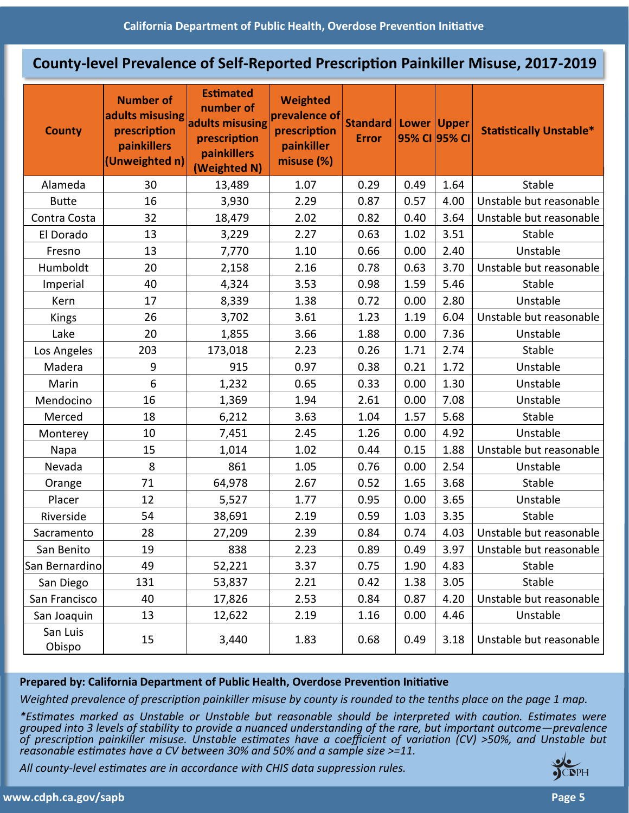#### **County-level Prevalence of Self-Reported Prescription Painkiller Misuse, 2017-2019**

| <b>County</b>      | <b>Number of</b><br>adults misusing<br>prescription<br>painkillers<br>(Unweighted n) | <b>Estimated</b><br>number of<br>adults misusing<br>prescription<br>painkillers<br>(Weighted N) | <b>Weighted</b><br>prevalence of<br>prescription<br>painkiller<br>misuse (%) | Standard<br><b>Error</b> | Lower<br>95% CI 95% CI | <b>Upper</b> | <b>Statistically Unstable*</b> |
|--------------------|--------------------------------------------------------------------------------------|-------------------------------------------------------------------------------------------------|------------------------------------------------------------------------------|--------------------------|------------------------|--------------|--------------------------------|
| Alameda            | 30                                                                                   | 13,489                                                                                          | 1.07                                                                         | 0.29                     | 0.49                   | 1.64         | Stable                         |
| <b>Butte</b>       | 16                                                                                   | 3,930                                                                                           | 2.29                                                                         | 0.87                     | 0.57                   | 4.00         | Unstable but reasonable        |
| Contra Costa       | 32                                                                                   | 18,479                                                                                          | 2.02                                                                         | 0.82                     | 0.40                   | 3.64         | Unstable but reasonable        |
| El Dorado          | 13                                                                                   | 3,229                                                                                           | 2.27                                                                         | 0.63                     | 1.02                   | 3.51         | Stable                         |
| Fresno             | 13                                                                                   | 7,770                                                                                           | 1.10                                                                         | 0.66                     | 0.00                   | 2.40         | Unstable                       |
| Humboldt           | 20                                                                                   | 2,158                                                                                           | 2.16                                                                         | 0.78                     | 0.63                   | 3.70         | Unstable but reasonable        |
| Imperial           | 40                                                                                   | 4,324                                                                                           | 3.53                                                                         | 0.98                     | 1.59                   | 5.46         | Stable                         |
| Kern               | 17                                                                                   | 8,339                                                                                           | 1.38                                                                         | 0.72                     | 0.00                   | 2.80         | Unstable                       |
| <b>Kings</b>       | 26                                                                                   | 3,702                                                                                           | 3.61                                                                         | 1.23                     | 1.19                   | 6.04         | Unstable but reasonable        |
| Lake               | 20                                                                                   | 1,855                                                                                           | 3.66                                                                         | 1.88                     | 0.00                   | 7.36         | Unstable                       |
| Los Angeles        | 203                                                                                  | 173,018                                                                                         | 2.23                                                                         | 0.26                     | 1.71                   | 2.74         | Stable                         |
| Madera             | 9                                                                                    | 915                                                                                             | 0.97                                                                         | 0.38                     | 0.21                   | 1.72         | Unstable                       |
| Marin              | 6                                                                                    | 1,232                                                                                           | 0.65                                                                         | 0.33                     | 0.00                   | 1.30         | Unstable                       |
| Mendocino          | 16                                                                                   | 1,369                                                                                           | 1.94                                                                         | 2.61                     | 0.00                   | 7.08         | Unstable                       |
| Merced             | 18                                                                                   | 6,212                                                                                           | 3.63                                                                         | 1.04                     | 1.57                   | 5.68         | Stable                         |
| Monterey           | 10                                                                                   | 7,451                                                                                           | 2.45                                                                         | 1.26                     | 0.00                   | 4.92         | Unstable                       |
| Napa               | 15                                                                                   | 1,014                                                                                           | 1.02                                                                         | 0.44                     | 0.15                   | 1.88         | Unstable but reasonable        |
| Nevada             | 8                                                                                    | 861                                                                                             | 1.05                                                                         | 0.76                     | 0.00                   | 2.54         | Unstable                       |
| Orange             | 71                                                                                   | 64,978                                                                                          | 2.67                                                                         | 0.52                     | 1.65                   | 3.68         | Stable                         |
| Placer             | 12                                                                                   | 5,527                                                                                           | 1.77                                                                         | 0.95                     | 0.00                   | 3.65         | Unstable                       |
| Riverside          | 54                                                                                   | 38,691                                                                                          | 2.19                                                                         | 0.59                     | 1.03                   | 3.35         | Stable                         |
| Sacramento         | 28                                                                                   | 27,209                                                                                          | 2.39                                                                         | 0.84                     | 0.74                   | 4.03         | Unstable but reasonable        |
| San Benito         | 19                                                                                   | 838                                                                                             | 2.23                                                                         | 0.89                     | 0.49                   | 3.97         | Unstable but reasonable        |
| San Bernardino     | 49                                                                                   | 52,221                                                                                          | 3.37                                                                         | 0.75                     | 1.90                   | 4.83         | Stable                         |
| San Diego          | 131                                                                                  | 53,837                                                                                          | 2.21                                                                         | 0.42                     | 1.38                   | 3.05         | Stable                         |
| San Francisco      | 40                                                                                   | 17,826                                                                                          | 2.53                                                                         | 0.84                     | 0.87                   | 4.20         | Unstable but reasonable        |
| San Joaquin        | 13                                                                                   | 12,622                                                                                          | 2.19                                                                         | 1.16                     | 0.00                   | 4.46         | Unstable                       |
| San Luis<br>Obispo | 15                                                                                   | 3,440                                                                                           | 1.83                                                                         | 0.68                     | 0.49                   | 3.18         | Unstable but reasonable        |

#### **Prepared by: California Department of Public Health, Overdose Prevention Initiative**

*Weighted prevalence of prescription painkiller misuse by county is rounded to the tenths place on the page 1 map.*

*\*Estimates marked as Unstable or Unstable but reasonable should be interpreted with caution. Estimates were grouped into 3 levels of stability to provide a nuanced understanding of the rare, but important outcome—prevalence of prescription painkiller misuse. Unstable estimates have a coefficient of variation (CV) >50%, and Unstable but reasonable estimates have a CV between 30% and 50% and a sample size >=11.*

*All county-level estimates are in accordance with CHIS data suppression rules.*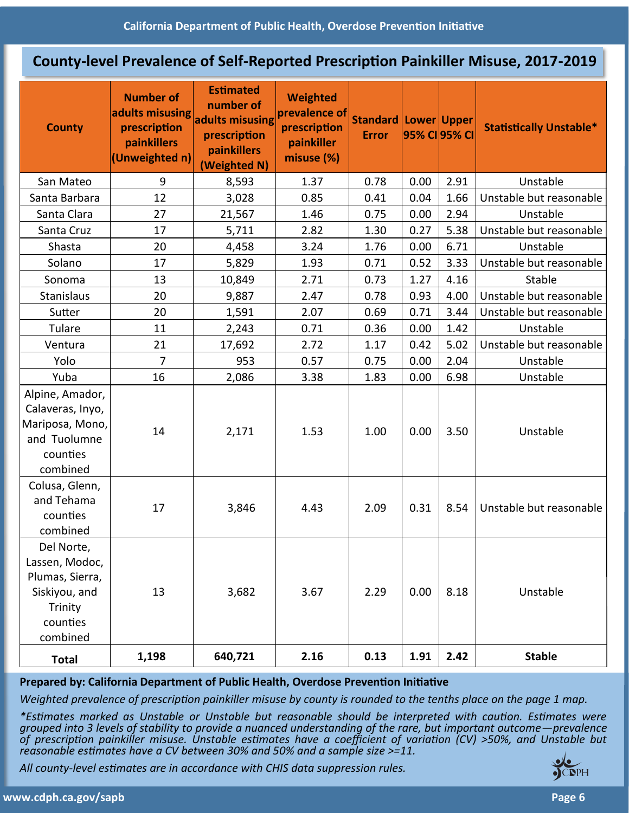#### **County-level Prevalence of Self-Reported Prescription Painkiller Misuse, 2017-2019**

| <b>County</b>                                                                                       | <b>Number of</b><br>adults misusing<br>prescription<br>painkillers<br>(Unweighted n) | <b>Estimated</b><br>number of<br>adults misusing<br>prescription<br>painkillers<br>(Weighted N) | <b>Weighted</b><br>prevalence of<br>prescription<br>painkiller<br>misuse (%) | <b>Standard Lower Upper</b><br><b>Error</b> | 95% CI 95% CI |      | <b>Statistically Unstable*</b> |
|-----------------------------------------------------------------------------------------------------|--------------------------------------------------------------------------------------|-------------------------------------------------------------------------------------------------|------------------------------------------------------------------------------|---------------------------------------------|---------------|------|--------------------------------|
| San Mateo                                                                                           | 9                                                                                    | 8,593                                                                                           | 1.37                                                                         | 0.78                                        | 0.00          | 2.91 | Unstable                       |
| Santa Barbara                                                                                       | 12                                                                                   | 3,028                                                                                           | 0.85                                                                         | 0.41                                        | 0.04          | 1.66 | Unstable but reasonable        |
| Santa Clara                                                                                         | 27                                                                                   | 21,567                                                                                          | 1.46                                                                         | 0.75                                        | 0.00          | 2.94 | Unstable                       |
| Santa Cruz                                                                                          | 17                                                                                   | 5,711                                                                                           | 2.82                                                                         | 1.30                                        | 0.27          | 5.38 | Unstable but reasonable        |
| Shasta                                                                                              | 20                                                                                   | 4,458                                                                                           | 3.24                                                                         | 1.76                                        | 0.00          | 6.71 | Unstable                       |
| Solano                                                                                              | 17                                                                                   | 5,829                                                                                           | 1.93                                                                         | 0.71                                        | 0.52          | 3.33 | Unstable but reasonable        |
| Sonoma                                                                                              | 13                                                                                   | 10,849                                                                                          | 2.71                                                                         | 0.73                                        | 1.27          | 4.16 | <b>Stable</b>                  |
| <b>Stanislaus</b>                                                                                   | 20                                                                                   | 9,887                                                                                           | 2.47                                                                         | 0.78                                        | 0.93          | 4.00 | Unstable but reasonable        |
| Sutter                                                                                              | 20                                                                                   | 1,591                                                                                           | 2.07                                                                         | 0.69                                        | 0.71          | 3.44 | Unstable but reasonable        |
| Tulare                                                                                              | 11                                                                                   | 2,243                                                                                           | 0.71                                                                         | 0.36                                        | 0.00          | 1.42 | Unstable                       |
| Ventura                                                                                             | 21                                                                                   | 17,692                                                                                          | 2.72                                                                         | 1.17                                        | 0.42          | 5.02 | Unstable but reasonable        |
| Yolo                                                                                                | $\overline{7}$                                                                       | 953                                                                                             | 0.57                                                                         | 0.75                                        | 0.00          | 2.04 | Unstable                       |
| Yuba                                                                                                | 16                                                                                   | 2,086                                                                                           | 3.38                                                                         | 1.83                                        | 0.00          | 6.98 | Unstable                       |
| Alpine, Amador,<br>Calaveras, Inyo,<br>Mariposa, Mono,<br>and Tuolumne<br>counties<br>combined      | 14                                                                                   | 2,171                                                                                           | 1.53                                                                         | 1.00                                        | 0.00          | 3.50 | Unstable                       |
| Colusa, Glenn,<br>and Tehama<br>counties<br>combined                                                | 17                                                                                   | 3,846                                                                                           | 4.43                                                                         | 2.09                                        | 0.31          | 8.54 | Unstable but reasonable        |
| Del Norte,<br>Lassen, Modoc,<br>Plumas, Sierra,<br>Siskiyou, and<br>Trinity<br>counties<br>combined | 13                                                                                   | 3,682                                                                                           | 3.67                                                                         | 2.29                                        | 0.00          | 8.18 | Unstable                       |
| <b>Total</b>                                                                                        | 1,198                                                                                | 640,721                                                                                         | 2.16                                                                         | 0.13                                        | 1.91          | 2.42 | <b>Stable</b>                  |

#### **Prepared by: California Department of Public Health, Overdose Prevention Initiative**

*Weighted prevalence of prescription painkiller misuse by county is rounded to the tenths place on the page 1 map.*

*\*Estimates marked as Unstable or Unstable but reasonable should be interpreted with caution. Estimates were grouped into 3 levels of stability to provide a nuanced understanding of the rare, but important outcome—prevalence of prescription painkiller misuse. Unstable estimates have a coefficient of variation (CV) >50%, and Unstable but reasonable estimates have a CV between 30% and 50% and a sample size >=11.*

*All county-level estimates are in accordance with CHIS data suppression rules.*